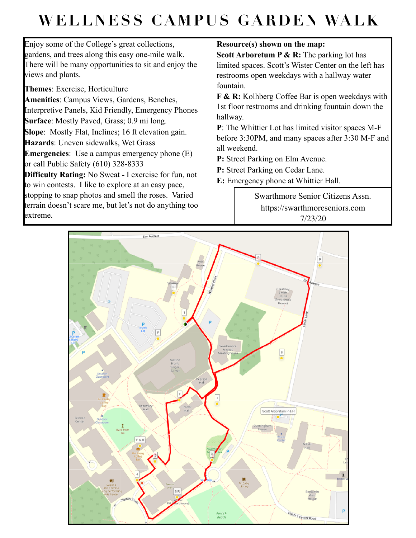## **WELLNESS CAMPUS GARDEN WALK**

Enjoy some of the College's great collections, gardens, and trees along this easy one-mile walk. There will be many opportunities to sit and enjoy the views and plants.

**Themes**: Exercise, Horticulture

**Amenities**: Campus Views, Gardens, Benches, Interpretive Panels, Kid Friendly, Emergency Phones **Surface**: Mostly Paved, Grass; 0.9 mi long.

**Slope**: Mostly Flat, Inclines; 16 ft elevation gain.

**Hazards**: Uneven sidewalks, Wet Grass

**Emergencies**: Use a campus emergency phone (E) or call Public Safety (610) 328-8333

**Difficulty Rating:** No Sweat **-** I exercise for fun, not to win contests. I like to explore at an easy pace, stopping to snap photos and smell the roses. Varied

terrain doesn't scare me, but let's not do anything too extreme.

## **Resource(s) shown on the map:**

**Scott Arboretum P & R:** The parking lot has limited spaces. Scott's Wister Center on the left has restrooms open weekdays with a hallway water fountain.

**F & R:** Kolhberg Coffee Bar is open weekdays with 1st floor restrooms and drinking fountain down the hallway.

**P**: The Whittier Lot has limited visitor spaces M-F before 3:30PM, and many spaces after 3:30 M-F and all weekend.

**P:** Street Parking on Elm Avenue.

**P:** Street Parking on Cedar Lane.

**E:** Emergency phone at Whittier Hall.

Swarthmore Senior Citizens Assn. https://swarthmoreseniors.com 7/23/20